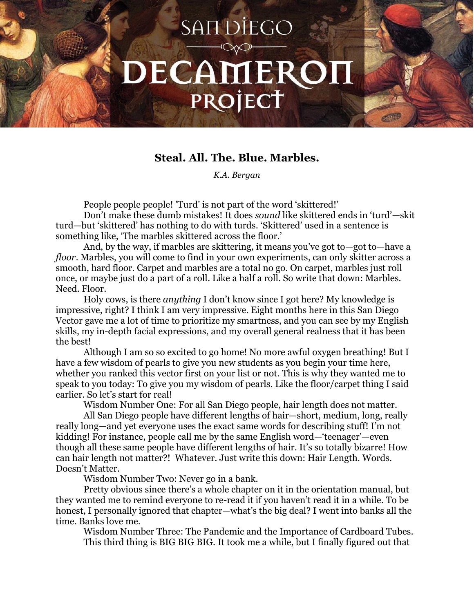## **SANDIEGO** DECAMEROI PROJECT

## **Steal. All. The. Blue. Marbles.**

*K.A. Bergan*

People people people! 'Turd' is not part of the word 'skittered!'

Don't make these dumb mistakes! It does *sound* like skittered ends in 'turd'—skit turd—but 'skittered' has nothing to do with turds. 'Skittered' used in a sentence is something like, 'The marbles skittered across the floor.'

And, by the way, if marbles are skittering*,* it means you've got to—got to—have a *floor*. Marbles, you will come to find in your own experiments, can only skitter across a smooth, hard floor. Carpet and marbles are a total no go. On carpet, marbles just roll once, or maybe just do a part of a roll. Like a half a roll. So write that down: Marbles. Need. Floor.

Holy cows, is there *anything* I don't know since I got here? My knowledge is impressive, right? I think I am very impressive. Eight months here in this San Diego Vector gave me a lot of time to prioritize my smartness, and you can see by my English skills, my in-depth facial expressions, and my overall general realness that it has been the best!

Although I am so so excited to go home! No more awful oxygen breathing! But I have a few wisdom of pearls to give you new students as you begin your time here, whether you ranked this vector first on your list or not. This is why they wanted me to speak to you today: To give you my wisdom of pearls. Like the floor/carpet thing I said earlier. So let's start for real!

Wisdom Number One: For all San Diego people, hair length does not matter.

All San Diego people have different lengths of hair—short, medium, long, really really long—and yet everyone uses the exact same words for describing stuff! I'm not kidding! For instance, people call me by the same English word—'teenager'—even though all these same people have different lengths of hair. It's so totally bizarre! How can hair length not matter?! Whatever. Just write this down: Hair Length. Words. Doesn't Matter.

Wisdom Number Two: Never go in a bank.

Pretty obvious since there's a whole chapter on it in the orientation manual, but they wanted me to remind everyone to re-read it if you haven't read it in a while. To be honest, I personally ignored that chapter—what's the big deal? I went into banks all the time. Banks love me.

Wisdom Number Three: The Pandemic and the Importance of Cardboard Tubes. This third thing is BIG BIG BIG. It took me a while, but I finally figured out that